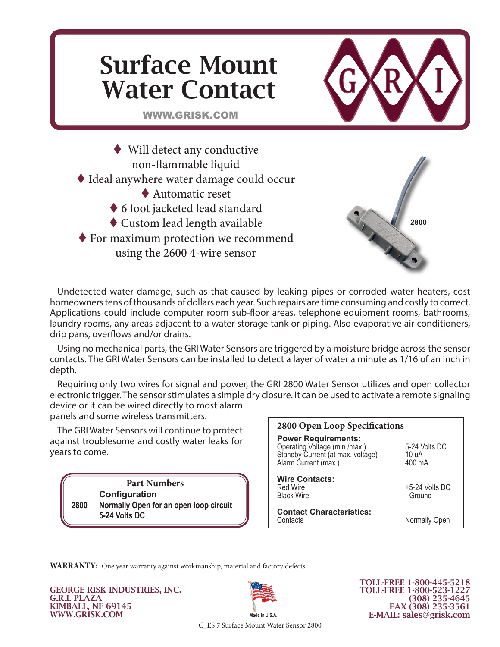# Surface Mount Water Contact



**2800**

WWW.GRISK.COM

 Will detect any conductive non-flammable liquid Ideal anywhere water damage could occur ◆ Automatic reset 6 foot jacketed lead standard Custom lead length available ◆ For maximum protection we recommend using the 2600 4-wire sensor

Undetected water damage, such as that caused by leaking pipes or corroded water heaters, cost homeowners tens of thousands of dollars each year. Such repairs are time consuming and costly to correct. Applications could include computer room sub-floor areas, telephone equipment rooms, bathrooms, laundry rooms, any areas adjacent to a water storage tank or piping. Also evaporative air conditioners, drip pans, overflows and/or drains.

Using no mechanical parts, the GRI Water Sensors are triggered by a moisture bridge across the sensor contacts. The GRI Water Sensors can be installed to detect a layer of water a minute as 1/16 of an inch in depth.

Requiring only two wires for signal and power, the GRI 2800 Water Sensor utilizes and open collector electronic trigger. The sensor stimulates a simple dry closure. It can be used to activate a remote signaling device or it can be wired directly to most alarm

panels and some wireless transmitters.

The GRI Water Sensors will continue to protect against troublesome and costly water leaks for years to come.

> **Part Numbers Configuration 2800 Normally Open for an open loop circuit 5-24 Volts DC**

| <b>2800 Open Loop Specifications</b>                                                                                     |                                  |
|--------------------------------------------------------------------------------------------------------------------------|----------------------------------|
| <b>Power Requirements:</b><br>Operating Voltage (min./max.)<br>Standby Current (at max. voltage)<br>Alarm Current (max.) | 5-24 Volts DC<br>10 uA<br>400 mA |
| <b>Wire Contacts:</b><br>Red Wire<br><b>Black Wire</b>                                                                   | $+5-24$ Volts DC<br>- Ground     |
| <b>Contact Characteristics:</b><br>Contacts                                                                              | Normally Open                    |
|                                                                                                                          |                                  |

**WARRANTY:** One year warranty against workmanship, material and factory defects.

GEORGE RISK INDUSTRIES, INC. G.R.I. PLAZA KIMBALL, NE 69145 WWW.GRISK.COM



TOLL-FREE 1-800-445-5218 TOLL-FREE 1-800-523-1227 (308) 235-4645 FAX (308) 235-3561 E-MAIL: sales@grisk.com

C\_ES 7 Surface Mount Water Sensor 2800